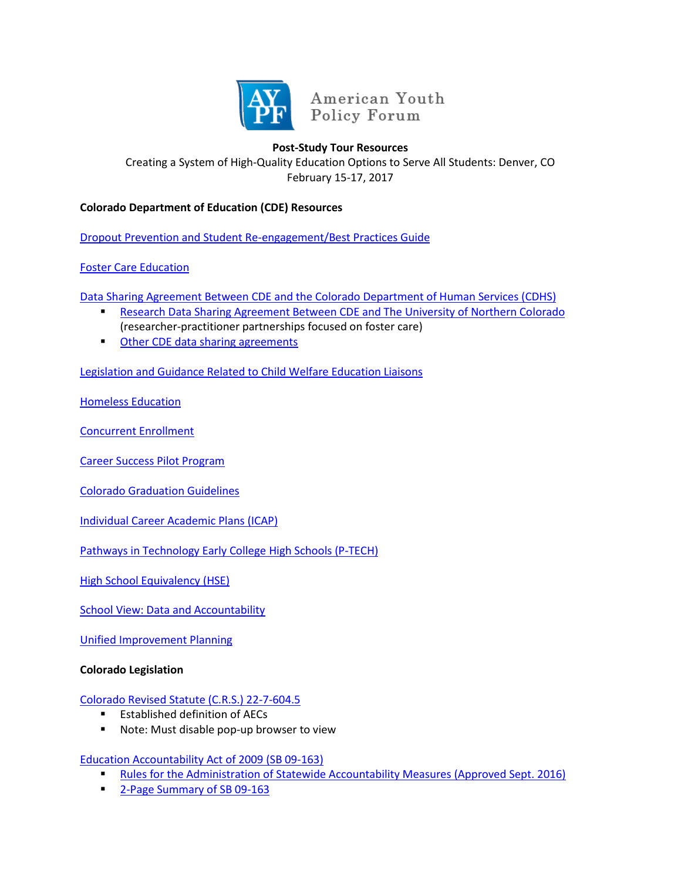

American Youth Policy Forum

# **Post-Study Tour Resources**

Creating a System of High-Quality Education Options to Serve All Students: Denver, CO February 15-17, 2017

## **Colorado Department of Education (CDE) Resources**

[Dropout Prevention and Student Re-engagement/Best Practices Guide](http://www.cde.state.co.us/dropoutprevention/bpguide)

# [Foster Care Education](http://www.cde.state.co.us/dropoutprevention/fostercare_index)

[Data Sharing Agreement Between CDE and the Colorado Department of Human Services \(CDHS\)](https://www.cde.state.co.us/dataprivacyandsecurity/cde-cdhsdsafull07272016)

- **[Research Data Sharing Agreement Between CDE and The University of Northern Colorado](https://www.cde.state.co.us/dataprivacyandsecurity/executeduncagreement)**
- (researcher-practitioner partnerships focused on foster care)
- **[Other CDE data sharing agreements](https://www.cde.state.co.us/dataprivacyandsecurity/agreements)**

[Legislation and Guidance Related to Child Welfare Education Liaisons](https://www.cde.state.co.us/dropoutprevention/fostercare_legislationandguidance)

[Homeless Education](http://www.cde.state.co.us/dropoutprevention/homeless_index)

[Concurrent Enrollment](http://www.cde.state.co.us/postsecondary/concurrentenrollment)

[Career Success Pilot Program](http://www.cde.state.co.us/postsecondary/hb16-1289)

[Colorado Graduation Guidelines](http://www.cde.state.co.us/postsecondary/graduationguidelines)

[Individual Career Academic Plans \(ICAP\)](http://www.cde.state.co.us/postsecondary/icap)

[Pathways in Technology Early College High Schools \(P-TECH\)](http://www.cde.state.co.us/postsecondary/p-tech)

[High School Equivalency \(HSE\)](http://www.cde.state.co.us/postsecondary/hse)

[School View: Data and Accountability](http://www.cde.state.co.us/schoolview)

[Unified Improvement Planning](https://www.cde.state.co.us/uip)

## **Colorado Legislation**

## [Colorado Revised Statute \(C.R.S.\) 22-7-604.5](https://www.lexisnexis.com/hottopics/colorado/?source=COLO;CODE&tocpath=1S1KUZJO2YQDT8ADV,2FJWK1OAI08A5TS8Y,3NFHMKJSATPOM5AHP;10O6PAS0K34TSKF9P,2ORG0JJ9IKJ8JUS86,3Y4QM4VYMYT0478IK;1WBNXQMGK8NSSGW7T,2AIK3T1TIKR97PM47,3O5DOWO13RMKN2SVS;18APKMVCD3ORR8QRZ,2GK82ZVKQCL602QGG,3MEQRSXNWTSCPJNBS;1P9EOBRPDRB5E9LCA,2Q0S0Q2SFGBX65THJ,36QRT663PUIM6JLVV&shortheader=no)

- **Established definition of AECs**
- Note: Must disable pop-up browser to view

## [Education Accountability Act of 2009 \(SB 09-163\)](https://www.cde.state.co.us/accountability/sb_163_052013)

- [Rules for the Administration of Statewide Accountability Measures \(Approved Sept. 2016\)](https://www.cde.state.co.us/accountability/accountabilityrulesadopted31114)
- **[2-Page Summary of SB 09-163](https://www.cde.state.co.us/sites/default/files/documents/accountability/downloads/updatedaccountabilityalignmentbill2pagesummary.pdf)**